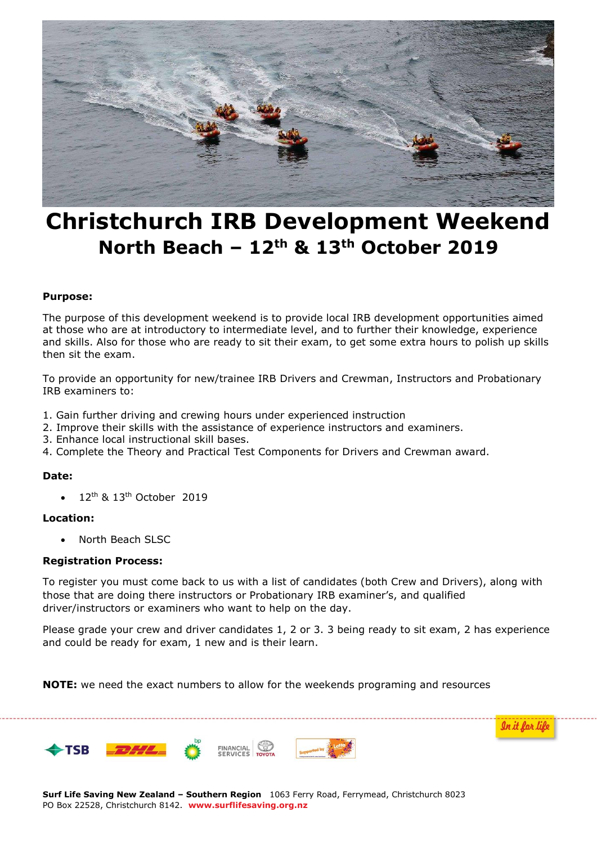

# **Christchurch IRB Development Weekend North Beach – 12th & 13th October 2019**

## **Purpose:**

The purpose of this development weekend is to provide local IRB development opportunities aimed at those who are at introductory to intermediate level, and to further their knowledge, experience and skills. Also for those who are ready to sit their exam, to get some extra hours to polish up skills then sit the exam.

To provide an opportunity for new/trainee IRB Drivers and Crewman, Instructors and Probationary IRB examiners to:

- 1. Gain further driving and crewing hours under experienced instruction
- 2. Improve their skills with the assistance of experience instructors and examiners.
- 3. Enhance local instructional skill bases.
- 4. Complete the Theory and Practical Test Components for Drivers and Crewman award.

#### **Date:**

12<sup>th</sup> & 13<sup>th</sup> October 2019

## **Location:**

North Beach SLSC

#### **Registration Process:**

To register you must come back to us with a list of candidates (both Crew and Drivers), along with those that are doing there instructors or Probationary IRB examiner's, and qualified driver/instructors or examiners who want to help on the day.

Please grade your crew and driver candidates 1, 2 or 3. 3 being ready to sit exam, 2 has experience and could be ready for exam, 1 new and is their learn.

**NOTE:** we need the exact numbers to allow for the weekends programing and resources



**Surf Life Saving New Zealand – Southern Region** 1063 Ferry Road, Ferrymead, Christchurch 8023 PO Box 22528, Christchurch 8142. **www.surflifesaving.org.nz**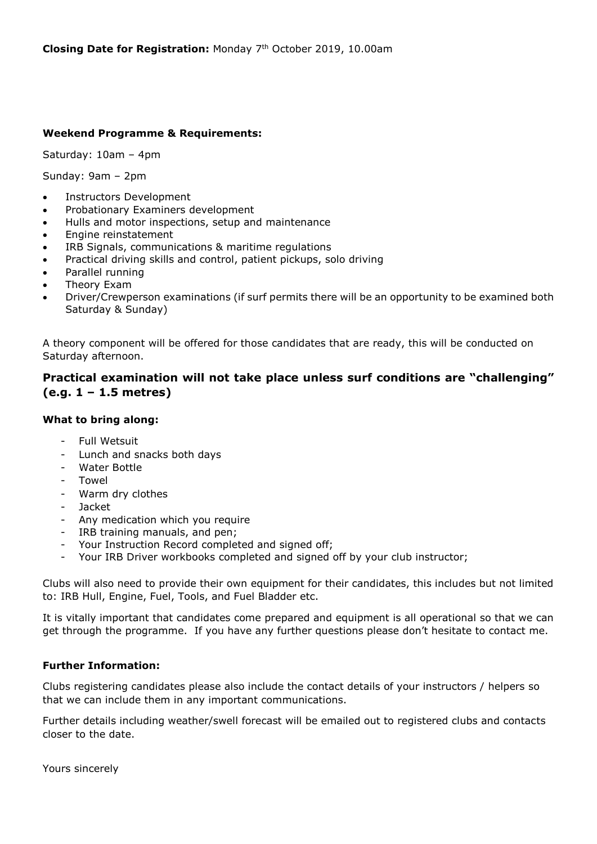# **Weekend Programme & Requirements:**

Saturday: 10am – 4pm

Sunday: 9am – 2pm

- Instructors Development
- Probationary Examiners development
- Hulls and motor inspections, setup and maintenance
- Engine reinstatement
- IRB Signals, communications & maritime regulations
- Practical driving skills and control, patient pickups, solo driving
- Parallel running
- Theory Exam
- Driver/Crewperson examinations (if surf permits there will be an opportunity to be examined both Saturday & Sunday)

A theory component will be offered for those candidates that are ready, this will be conducted on Saturday afternoon.

# **Practical examination will not take place unless surf conditions are "challenging" (e.g. 1 – 1.5 metres)**

# **What to bring along:**

- Full Wetsuit
- Lunch and snacks both days
- Water Bottle
- Towel
- Warm dry clothes
- Jacket
- Any medication which you require
- IRB training manuals, and pen;
- Your Instruction Record completed and signed off;
- Your IRB Driver workbooks completed and signed off by your club instructor;

Clubs will also need to provide their own equipment for their candidates, this includes but not limited to: IRB Hull, Engine, Fuel, Tools, and Fuel Bladder etc.

It is vitally important that candidates come prepared and equipment is all operational so that we can get through the programme. If you have any further questions please don't hesitate to contact me.

# **Further Information:**

Clubs registering candidates please also include the contact details of your instructors / helpers so that we can include them in any important communications.

Further details including weather/swell forecast will be emailed out to registered clubs and contacts closer to the date.

Yours sincerely